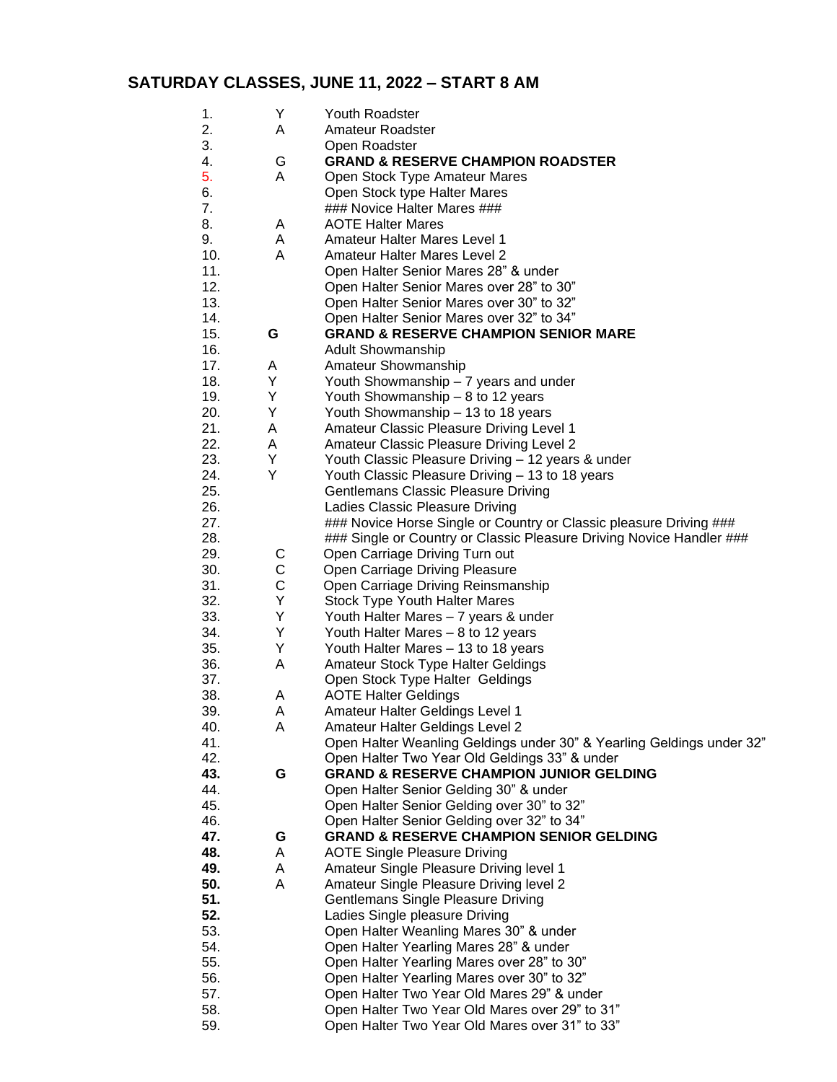## **SATURDAY CLASSES, JUNE 11, 2022 – START 8 AM**

| 1.  | Υ | Youth Roadster                                                        |
|-----|---|-----------------------------------------------------------------------|
| 2.  | Α | <b>Amateur Roadster</b>                                               |
| 3.  |   | Open Roadster                                                         |
| 4.  | G | <b>GRAND &amp; RESERVE CHAMPION ROADSTER</b>                          |
| 5.  | A | Open Stock Type Amateur Mares                                         |
| 6.  |   | Open Stock type Halter Mares                                          |
| 7.  |   | ### Novice Halter Mares ###                                           |
| 8.  | A | <b>AOTE Halter Mares</b>                                              |
| 9.  | Α | <b>Amateur Halter Mares Level 1</b>                                   |
| 10. | Α | <b>Amateur Halter Mares Level 2</b>                                   |
| 11. |   | Open Halter Senior Mares 28" & under                                  |
| 12. |   | Open Halter Senior Mares over 28" to 30"                              |
| 13. |   | Open Halter Senior Mares over 30" to 32"                              |
| 14. |   | Open Halter Senior Mares over 32" to 34"                              |
| 15. | G | <b>GRAND &amp; RESERVE CHAMPION SENIOR MARE</b>                       |
|     |   |                                                                       |
| 16. |   | <b>Adult Showmanship</b>                                              |
| 17. | A | Amateur Showmanship                                                   |
| 18. | Y | Youth Showmanship - 7 years and under                                 |
| 19. | Y | Youth Showmanship - 8 to 12 years                                     |
| 20. | Y | Youth Showmanship - 13 to 18 years                                    |
| 21. | A | Amateur Classic Pleasure Driving Level 1                              |
| 22. | A | Amateur Classic Pleasure Driving Level 2                              |
| 23. | Y | Youth Classic Pleasure Driving - 12 years & under                     |
| 24. | Y | Youth Classic Pleasure Driving - 13 to 18 years                       |
| 25. |   | Gentlemans Classic Pleasure Driving                                   |
| 26. |   | Ladies Classic Pleasure Driving                                       |
| 27. |   | ### Novice Horse Single or Country or Classic pleasure Driving ###    |
| 28. |   | ### Single or Country or Classic Pleasure Driving Novice Handler ###  |
| 29. | C | Open Carriage Driving Turn out                                        |
| 30. | C | Open Carriage Driving Pleasure                                        |
| 31. | C | Open Carriage Driving Reinsmanship                                    |
| 32. | Υ | <b>Stock Type Youth Halter Mares</b>                                  |
| 33. | Υ | Youth Halter Mares - 7 years & under                                  |
| 34. | Υ | Youth Halter Mares - 8 to 12 years                                    |
| 35. | Y | Youth Halter Mares - 13 to 18 years                                   |
| 36. | Α | Amateur Stock Type Halter Geldings                                    |
| 37. |   | Open Stock Type Halter Geldings                                       |
| 38. | A | <b>AOTE Halter Geldings</b>                                           |
| 39. | A | Amateur Halter Geldings Level 1                                       |
| 40. | A | Amateur Halter Geldings Level 2                                       |
| 41. |   | Open Halter Weanling Geldings under 30" & Yearling Geldings under 32" |
| 42. |   | Open Halter Two Year Old Geldings 33" & under                         |
| 43. | G | <b>GRAND &amp; RESERVE CHAMPION JUNIOR GELDING</b>                    |
| 44. |   | Open Halter Senior Gelding 30" & under                                |
| 45. |   | Open Halter Senior Gelding over 30" to 32"                            |
| 46. |   | Open Halter Senior Gelding over 32" to 34"                            |
| 47. | G | <b>GRAND &amp; RESERVE CHAMPION SENIOR GELDING</b>                    |
| 48. | A | <b>AOTE Single Pleasure Driving</b>                                   |
| 49. | A | Amateur Single Pleasure Driving level 1                               |
| 50. | A | Amateur Single Pleasure Driving level 2                               |
| 51. |   |                                                                       |
|     |   | Gentlemans Single Pleasure Driving                                    |
| 52. |   | Ladies Single pleasure Driving                                        |
| 53. |   | Open Halter Weanling Mares 30" & under                                |
| 54. |   | Open Halter Yearling Mares 28" & under                                |
| 55. |   | Open Halter Yearling Mares over 28" to 30"                            |
| 56. |   | Open Halter Yearling Mares over 30" to 32"                            |
| 57. |   | Open Halter Two Year Old Mares 29" & under                            |
| 58. |   | Open Halter Two Year Old Mares over 29" to 31"                        |
| 59. |   | Open Halter Two Year Old Mares over 31" to 33"                        |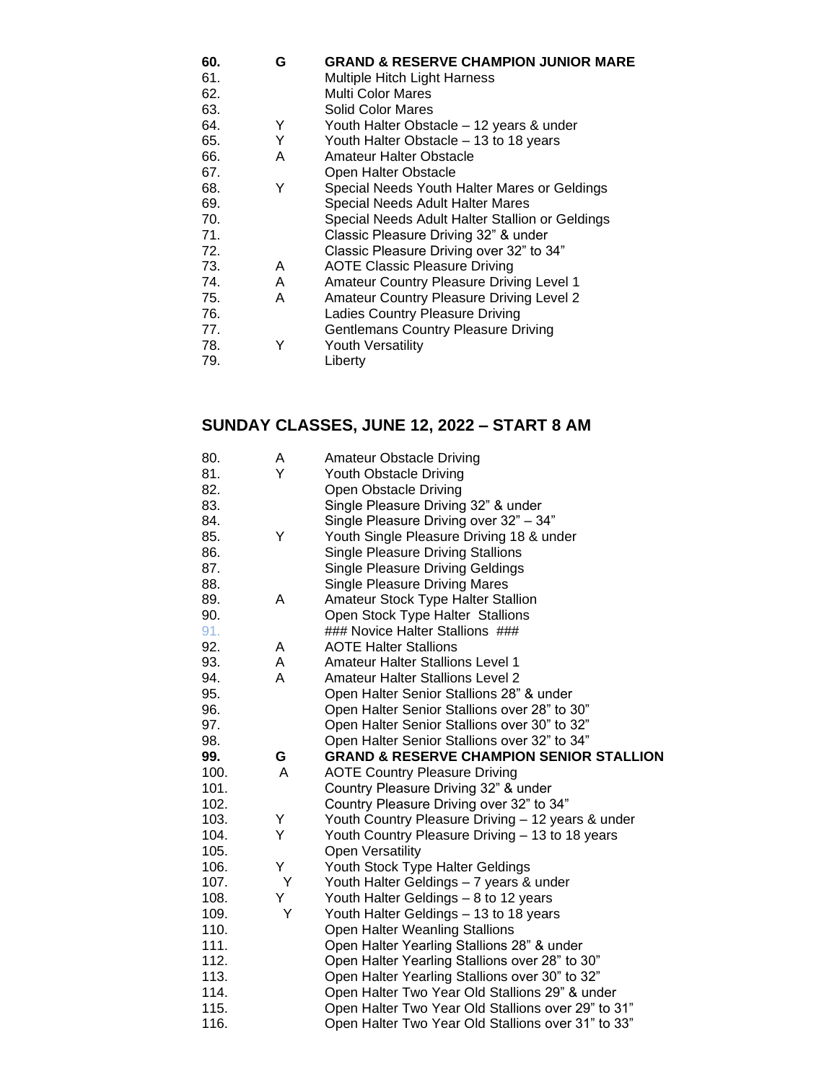| 60. | G | <b>GRAND &amp; RESERVE CHAMPION JUNIOR MARE</b> |
|-----|---|-------------------------------------------------|
| 61. |   | <b>Multiple Hitch Light Harness</b>             |
| 62. |   | <b>Multi Color Mares</b>                        |
| 63. |   | Solid Color Mares                               |
| 64. | Y | Youth Halter Obstacle - 12 years & under        |
| 65. | Y | Youth Halter Obstacle - 13 to 18 years          |
| 66. | A | <b>Amateur Halter Obstacle</b>                  |
| 67. |   | Open Halter Obstacle                            |
| 68. | Υ | Special Needs Youth Halter Mares or Geldings    |
| 69. |   | Special Needs Adult Halter Mares                |
| 70. |   | Special Needs Adult Halter Stallion or Geldings |
| 71. |   | Classic Pleasure Driving 32" & under            |
| 72. |   | Classic Pleasure Driving over 32" to 34"        |
| 73. | A | AOTE Classic Pleasure Driving                   |
| 74. | A | Amateur Country Pleasure Driving Level 1        |
| 75. | A | <b>Amateur Country Pleasure Driving Level 2</b> |
| 76. |   | Ladies Country Pleasure Driving                 |
| 77. |   | <b>Gentlemans Country Pleasure Driving</b>      |
| 78. | Y | <b>Youth Versatility</b>                        |
| 79. |   | Liberty                                         |

## **SUNDAY CLASSES, JUNE 12, 2022 – START 8 AM**

| 80.  | Α | <b>Amateur Obstacle Driving</b>                     |
|------|---|-----------------------------------------------------|
| 81.  | Y | Youth Obstacle Driving                              |
| 82.  |   | Open Obstacle Driving                               |
| 83.  |   | Single Pleasure Driving 32" & under                 |
| 84.  |   | Single Pleasure Driving over 32" - 34"              |
| 85.  | Y | Youth Single Pleasure Driving 18 & under            |
| 86.  |   | <b>Single Pleasure Driving Stallions</b>            |
| 87.  |   | <b>Single Pleasure Driving Geldings</b>             |
| 88.  |   | <b>Single Pleasure Driving Mares</b>                |
| 89.  | A | <b>Amateur Stock Type Halter Stallion</b>           |
| 90.  |   | Open Stock Type Halter Stallions                    |
| 91.  |   | ### Novice Halter Stallions ###                     |
| 92.  | A | <b>AOTE Halter Stallions</b>                        |
| 93.  | A | <b>Amateur Halter Stallions Level 1</b>             |
| 94.  | A | <b>Amateur Halter Stallions Level 2</b>             |
| 95.  |   | Open Halter Senior Stallions 28" & under            |
| 96.  |   | Open Halter Senior Stallions over 28" to 30"        |
| 97.  |   | Open Halter Senior Stallions over 30" to 32"        |
| 98.  |   | Open Halter Senior Stallions over 32" to 34"        |
| 99.  | G | <b>GRAND &amp; RESERVE CHAMPION SENIOR STALLION</b> |
| 100. | A | <b>AOTE Country Pleasure Driving</b>                |
| 101. |   | Country Pleasure Driving 32" & under                |
| 102. |   | Country Pleasure Driving over 32" to 34"            |
| 103. | Y | Youth Country Pleasure Driving - 12 years & under   |
| 104. | Y | Youth Country Pleasure Driving - 13 to 18 years     |
| 105. |   | <b>Open Versatility</b>                             |
| 106. | Υ | Youth Stock Type Halter Geldings                    |
| 107. | Υ | Youth Halter Geldings - 7 years & under             |
| 108. | Y | Youth Halter Geldings - 8 to 12 years               |
| 109. | Υ | Youth Halter Geldings - 13 to 18 years              |
| 110. |   | Open Halter Weanling Stallions                      |
| 111. |   | Open Halter Yearling Stallions 28" & under          |
| 112. |   | Open Halter Yearling Stallions over 28" to 30"      |
| 113. |   | Open Halter Yearling Stallions over 30" to 32"      |
| 114. |   | Open Halter Two Year Old Stallions 29" & under      |
| 115. |   | Open Halter Two Year Old Stallions over 29" to 31"  |
| 116. |   | Open Halter Two Year Old Stallions over 31" to 33"  |